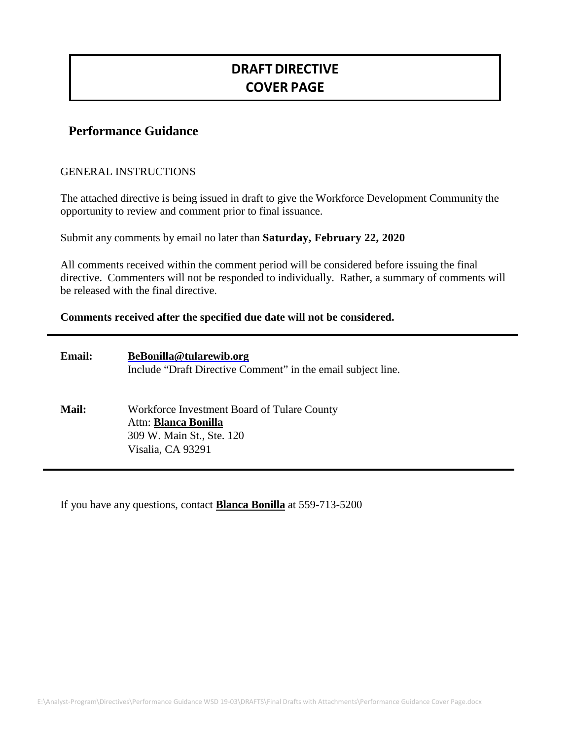# **DRAFT DIRECTIVE COVER PAGE**

## **Performance Guidance**

#### GENERAL INSTRUCTIONS

The attached directive is being issued in draft to give the Workforce Development Community the opportunity to review and comment prior to final issuance.

Submit any comments by email no later than **Saturday, February 22, 2020**

All comments received within the comment period will be considered before issuing the final directive. Commenters will not be responded to individually. Rather, a summary of comments will be released with the final directive.

#### **Comments received after the specified due date will not be considered.**

| <b>Email:</b> | BeBonilla@tularewib.org<br>Include "Draft Directive Comment" in the email subject line.                                      |
|---------------|------------------------------------------------------------------------------------------------------------------------------|
| Mail:         | Workforce Investment Board of Tulare County<br>Attn: <b>Blanca Bonilla</b><br>309 W. Main St., Ste. 120<br>Visalia, CA 93291 |

If you have any questions, contact **Blanca Bonilla** at 559-713-5200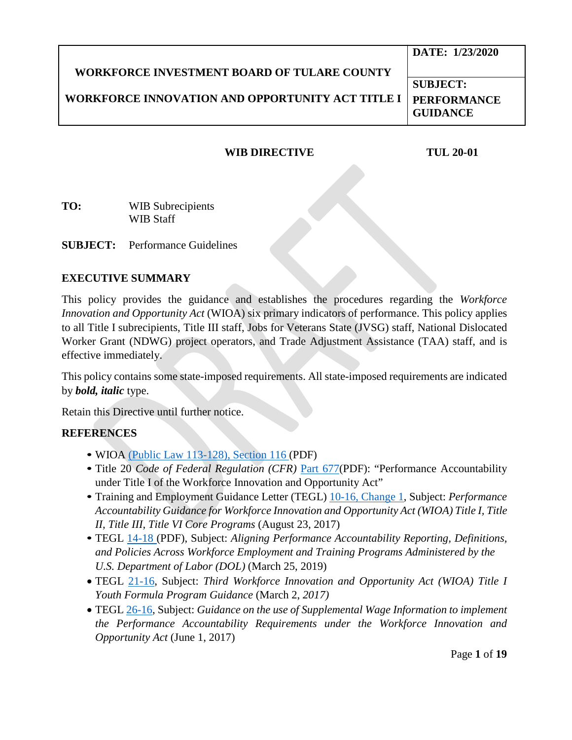|                                                         | DATE: 1/23/2020                       |
|---------------------------------------------------------|---------------------------------------|
| <b>WORKFORCE INVESTMENT BOARD OF TULARE COUNTY</b>      |                                       |
|                                                         | <b>SUBJECT:</b>                       |
| <b>WORKFORCE INNOVATION AND OPPORTUNITY ACT TITLE I</b> | <b>PERFORMANCE</b><br><b>GUIDANCE</b> |

### **WIB DIRECTIVE TUL 20-01**

**TO:** WIB Subrecipients WIB Staff

**SUBJECT:** Performance Guidelines

#### **EXECUTIVE SUMMARY**

This policy provides the guidance and establishes the procedures regarding the *Workforce Innovation and Opportunity Act* (WIOA) six primary indicators of performance. This policy applies to all Title I subrecipients, Title III staff, Jobs for Veterans State (JVSG) staff, National Dislocated Worker Grant (NDWG) project operators, and Trade Adjustment Assistance (TAA) staff, and is effective immediately.

This policy contains some state-imposed requirements. All state-imposed requirements are indicated by *bold, italic* type.

Retain this Directive until further notice.

#### **REFERENCES**

- WIOA [\(Public Law 113-128\), Section 116 \(](https://www.gpo.gov/fdsys/pkg/PLAW-113publ128/pdf/PLAW-113publ128.pdf)PDF)
- Title 20 *Code of Federal Regulation (CFR)* [Part 677\(](https://www.gpo.gov/fdsys/pkg/FR-2016-08-19/pdf/2016-15977.pdf)PDF): "Performance Accountability under Title I of the Workforce Innovation and Opportunity Act"
- Training and Employment Guidance Letter (TEGL) [10-16, Change 1,](https://wdr.doleta.gov/directives/corr_doc.cfm?DOCN=3255) Subject: *Performance Accountability Guidance for Workforce Innovation and Opportunity Act (WIOA) Title I, Title II, Title III, Title VI Core Programs* (August 23, 2017)
- TEGL [14-18 \(](https://wdr.doleta.gov/directives/attach/TEGL/TEGL_14-18.pdf)PDF), Subject: *Aligning Performance Accountability Reporting, Definitions, and Policies Across Workforce Employment and Training Programs Administered by the U.S. Department of Labor (DOL)* (March 25, 2019)
- TEGL [21-16,](https://wdr.doleta.gov/directives/corr_doc.cfm?docn=7159) Subject: *Third Workforce Innovation and Opportunity Act (WIOA) Title I Youth Formula Program Guidance* (March 2, *2017)*
- TEGL [26-16,](https://wdr.doleta.gov/directives/corr_doc.cfm?DOCN=5002) Subject: *Guidance on the use of Supplemental Wage Information to implement the Performance Accountability Requirements under the Workforce Innovation and Opportunity Act* (June 1, 2017)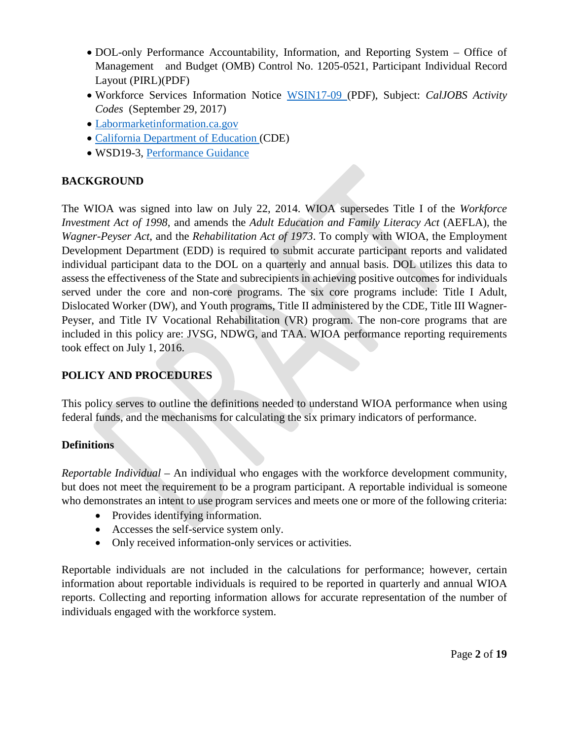- DOL-only Performance Accountability, Information, and Reporting System Office of Management and Budget (OMB) Control No. 1205-0521, Participant Individual Record Layout (PIRL)(PDF)
- Workforce Services Information Notice [WSIN17-09 \(](http://www.edd.ca.gov/jobs_and_training/pubs/wsin17-09.pdf)PDF), Subject: *CalJOBS Activity Codes* (September 29, 2017)
- [Labormarketinformation.ca.gov](http://www.labormarketinfo.edd.ca.gov/)
- [California Department of Education \(](https://www.cde.ca.gov/ci/gs/hs/hsgrgen.asp)CDE)
- WSD19-3, [Performance Guidance](https://www.edd.ca.gov/Jobs_and_Training/pubs/wsd19-03.pdf)

## **BACKGROUND**

The WIOA was signed into law on July 22, 2014. WIOA supersedes Title I of the *Workforce Investment Act of 1998*, and amends the *Adult Education and Family Literacy Act* (AEFLA), the *Wagner-Peyser Act*, and the *Rehabilitation Act of 1973*. To comply with WIOA, the Employment Development Department (EDD) is required to submit accurate participant reports and validated individual participant data to the DOL on a quarterly and annual basis. DOL utilizes this data to assess the effectiveness of the State and subrecipients in achieving positive outcomes for individuals served under the core and non-core programs. The six core programs include: Title I Adult, Dislocated Worker (DW), and Youth programs, Title II administered by the CDE, Title III Wagner-Peyser, and Title IV Vocational Rehabilitation (VR) program. The non-core programs that are included in this policy are: JVSG, NDWG, and TAA. WIOA performance reporting requirements took effect on July 1, 2016.

## **POLICY AND PROCEDURES**

This policy serves to outline the definitions needed to understand WIOA performance when using federal funds, and the mechanisms for calculating the six primary indicators of performance.

## **Definitions**

*Reportable Individual* – An individual who engages with the workforce development community, but does not meet the requirement to be a program participant. A reportable individual is someone who demonstrates an intent to use program services and meets one or more of the following criteria:

- Provides identifying information.
- Accesses the self-service system only.
- Only received information-only services or activities.

Reportable individuals are not included in the calculations for performance; however, certain information about reportable individuals is required to be reported in quarterly and annual WIOA reports. Collecting and reporting information allows for accurate representation of the number of individuals engaged with the workforce system.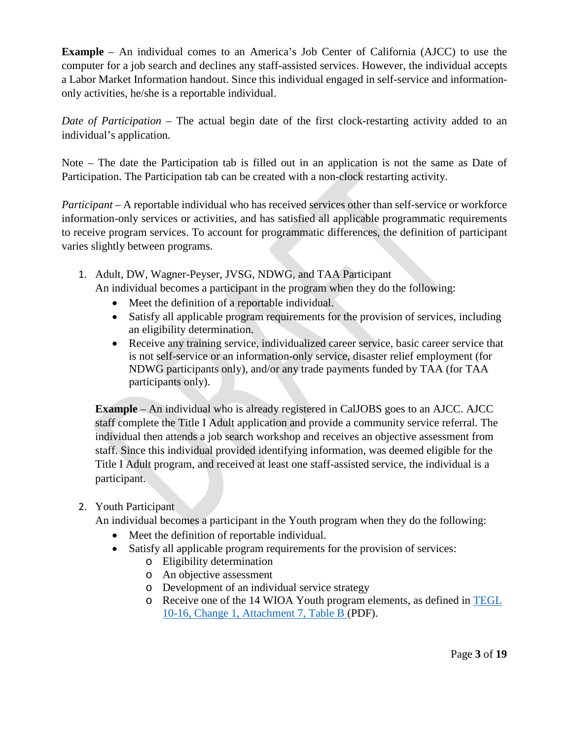**Example** – An individual comes to an America's Job Center of California (AJCC) to use the computer for a job search and declines any staff-assisted services. However, the individual accepts a Labor Market Information handout. Since this individual engaged in self-service and informationonly activities, he/she is a reportable individual.

*Date of Participation* – The actual begin date of the first clock-restarting activity added to an individual's application.

Note – The date the Participation tab is filled out in an application is not the same as Date of Participation. The Participation tab can be created with a non-clock restarting activity.

*Participant* – A reportable individual who has received services other than self-service or workforce information-only services or activities, and has satisfied all applicable programmatic requirements to receive program services. To account for programmatic differences, the definition of participant varies slightly between programs.

- 1. Adult, DW, Wagner-Peyser, JVSG, NDWG, and TAA Participant An individual becomes a participant in the program when they do the following:
	- Meet the definition of a reportable individual.
	- Satisfy all applicable program requirements for the provision of services, including an eligibility determination.
	- Receive any training service, individualized career service, basic career service that is not self-service or an information-only service, disaster relief employment (for NDWG participants only), and/or any trade payments funded by TAA (for TAA participants only).

**Example** – An individual who is already registered in CalJOBS goes to an AJCC. AJCC staff complete the Title I Adult application and provide a community service referral. The individual then attends a job search workshop and receives an objective assessment from staff. Since this individual provided identifying information, was deemed eligible for the Title I Adult program, and received at least one staff-assisted service, the individual is a participant.

#### 2. Youth Participant

An individual becomes a participant in the Youth program when they do the following:

- Meet the definition of reportable individual.
- Satisfy all applicable program requirements for the provision of services:
	- o Eligibility determination
	- o An objective assessment
	- o Development of an individual service strategy
	- o Receive one of the 14 WIOA Youth program elements, as defined in [TEGL](https://wdr.doleta.gov/directives/attach/TEGL/TEGL_10-16-Change1_Attachment_7B_Acc.pdf) [10-16, Change 1, Attachment 7, Table B \(](https://wdr.doleta.gov/directives/attach/TEGL/TEGL_10-16-Change1_Attachment_7B_Acc.pdf)PDF).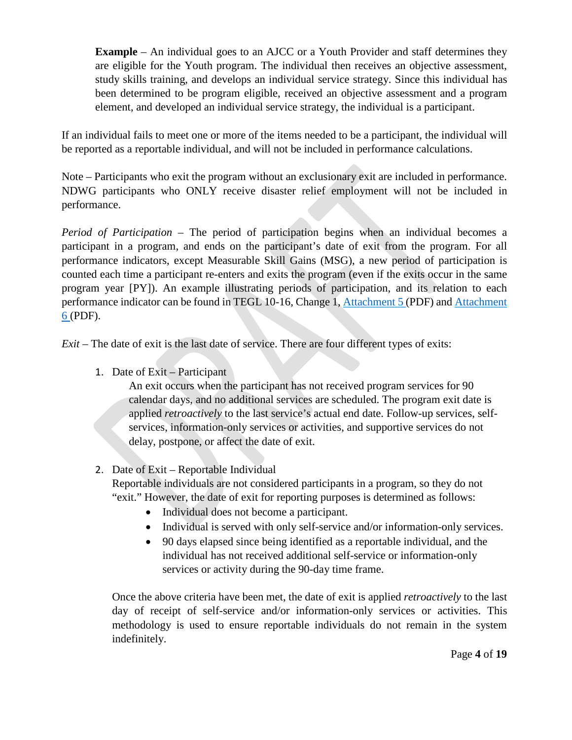**Example** – An individual goes to an AJCC or a Youth Provider and staff determines they are eligible for the Youth program. The individual then receives an objective assessment, study skills training, and develops an individual service strategy. Since this individual has been determined to be program eligible, received an objective assessment and a program element, and developed an individual service strategy, the individual is a participant.

If an individual fails to meet one or more of the items needed to be a participant, the individual will be reported as a reportable individual, and will not be included in performance calculations.

Note – Participants who exit the program without an exclusionary exit are included in performance. NDWG participants who ONLY receive disaster relief employment will not be included in performance.

*Period of Participation* – The period of participation begins when an individual becomes a participant in a program, and ends on the participant's date of exit from the program. For all performance indicators, except Measurable Skill Gains (MSG), a new period of participation is counted each time a participant re-enters and exits the program (even if the exits occur in the same program year [PY]). An example illustrating periods of participation, and its relation to each performance indicator can be found in TEGL 10-16, Change 1, [Attachment 5 \(](https://wdr.doleta.gov/directives/attach/TEGL/TEGL_10-16-Change1_Attachment_5_Acc.pdf)PDF) and [Attachment](https://wdr.doleta.gov/directives/attach/TEGL/TEGL_10-16-Change1_Attachment_6_Acc.pdf)  [6 \(](https://wdr.doleta.gov/directives/attach/TEGL/TEGL_10-16-Change1_Attachment_6_Acc.pdf)PDF).

*Exit* – The date of exit is the last date of service. There are four different types of exits:

1. Date of Exit – Participant

An exit occurs when the participant has not received program services for 90 calendar days, and no additional services are scheduled. The program exit date is applied *retroactively* to the last service's actual end date. Follow-up services, selfservices, information-only services or activities, and supportive services do not delay, postpone, or affect the date of exit.

## 2. Date of Exit – Reportable Individual

Reportable individuals are not considered participants in a program, so they do not "exit." However, the date of exit for reporting purposes is determined as follows:

- Individual does not become a participant.
- Individual is served with only self-service and/or information-only services.
- 90 days elapsed since being identified as a reportable individual, and the individual has not received additional self-service or information-only services or activity during the 90-day time frame.

Once the above criteria have been met, the date of exit is applied *retroactively* to the last day of receipt of self-service and/or information-only services or activities. This methodology is used to ensure reportable individuals do not remain in the system indefinitely.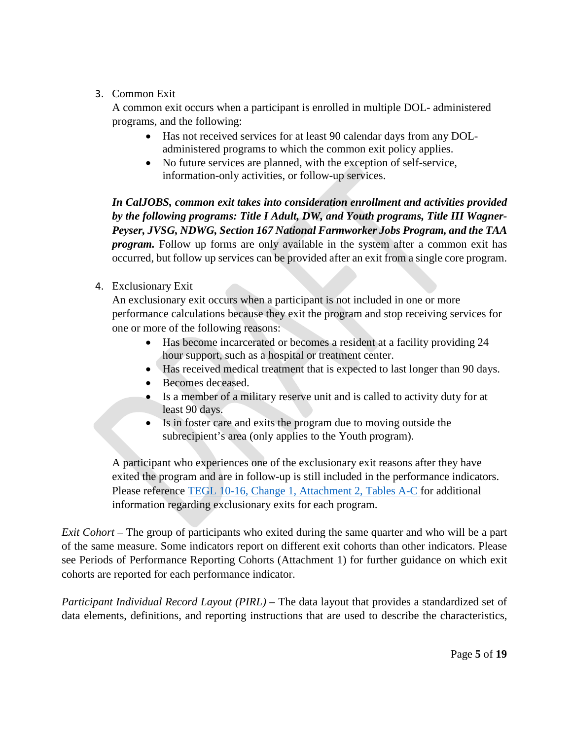### 3. Common Exit

A common exit occurs when a participant is enrolled in multiple DOL- administered programs, and the following:

- Has not received services for at least 90 calendar days from any DOLadministered programs to which the common exit policy applies.
- No future services are planned, with the exception of self-service, information-only activities, or follow-up services.

*In CalJOBS, common exit takes into consideration enrollment and activities provided by the following programs: Title I Adult, DW, and Youth programs, Title III Wagner-Peyser, JVSG, NDWG, Section 167 National Farmworker Jobs Program, and the TAA program.* Follow up forms are only available in the system after a common exit has occurred, but follow up services can be provided after an exit from a single core program.

#### 4. Exclusionary Exit

An exclusionary exit occurs when a participant is not included in one or more performance calculations because they exit the program and stop receiving services for one or more of the following reasons:

- Has become incarcerated or becomes a resident at a facility providing 24 hour support, such as a hospital or treatment center.
- Has received medical treatment that is expected to last longer than 90 days.
- Becomes deceased.
- Is a member of a military reserve unit and is called to activity duty for at least 90 days.
- Is in foster care and exits the program due to moving outside the subrecipient's area (only applies to the Youth program).

A participant who experiences one of the exclusionary exit reasons after they have exited the program and are in follow-up is still included in the performance indicators. Please reference [TEGL 10-16, Change 1, Attachment 2, Tables A-C f](https://wdr.doleta.gov/directives/attach/TEGL/TEGL_10-16-Change1_Attachment_2_Acc.pdf)or additional information regarding exclusionary exits for each program.

*Exit Cohort* – The group of participants who exited during the same quarter and who will be a part of the same measure. Some indicators report on different exit cohorts than other indicators. Please see Periods of Performance Reporting Cohorts (Attachment 1) for further guidance on which exit cohorts are reported for each performance indicator.

*Participant Individual Record Layout (PIRL)* – The data layout that provides a standardized set of data elements, definitions, and reporting instructions that are used to describe the characteristics,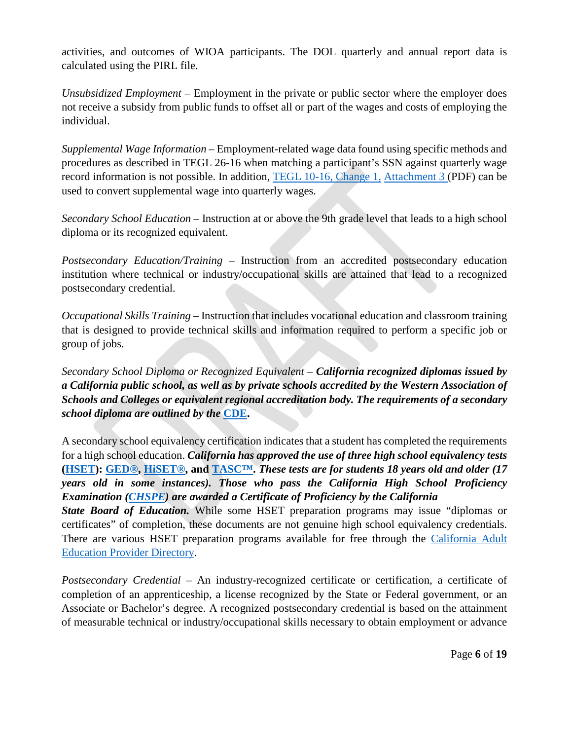activities, and outcomes of WIOA participants. The DOL quarterly and annual report data is calculated using the PIRL file.

*Unsubsidized Employment* – Employment in the private or public sector where the employer does not receive a subsidy from public funds to offset all or part of the wages and costs of employing the individual.

*Supplemental Wage Information* – Employment-related wage data found using specific methods and procedures as described in TEGL 26-16 when matching a participant's SSN against quarterly wage record information is not possible. In addition, [TEGL 10-16, Change 1,](https://wdr.doleta.gov/directives/attach/TEGL/TEGL_10-16-Change1_Attachment_3_Acc.pdf) [Attachment 3 \(](https://wdr.doleta.gov/directives/attach/TEGL/TEGL_10-16-Change1_Attachment_3_Acc.pdf)PDF) can be used to convert supplemental wage into quarterly wages.

*Secondary School Education* – Instruction at or above the 9th grade level that leads to a high school diploma or its recognized equivalent.

*Postsecondary Education/Training* – Instruction from an accredited postsecondary education institution where technical or industry/occupational skills are attained that lead to a recognized postsecondary credential.

*Occupational Skills Training* – Instruction that includes vocational education and classroom training that is designed to provide technical skills and information required to perform a specific job or group of jobs.

*Secondary School Diploma or Recognized Equivalent* – *California recognized diplomas issued by a California public school, as well as by private schools accredited by the Western Association of Schools and Colleges or equivalent regional accreditation body. The requirements of a secondary school diploma are outlined by the* **[CDE.](https://www.cde.ca.gov/ci/gs/hs/hsgrgen.asp)**

A secondary school equivalency certification indicates that a student has completed the requirements for a high school education. *California has approved the use of three high school equivalency tests*  **[\(HSET\)](https://www.cde.ca.gov/Ta/Tg/gd/): [GED®,](https://ged.com/) [HiSET®,](http://hiset.ets.org/test-takers/?WT.ac=hiset_34809_test_takers_160915) and [TASC™.](http://www.tasctest.com/)** *These tests are for students 18 years old and older (17 years old in some instances). Those who pass the California High School Proficiency Examination [\(CHSPE\)](https://www.cde.ca.gov/ta/tg/sp/chspefaq.asp) are awarded a Certificate of Proficiency by the California State Board of Education.* While some HSET preparation programs may issue "diplomas or certificates" of completion, these documents are not genuine high school equivalency credentials.

There are various HSET preparation programs available for free through the California Adult [Education Provider Directory.](https://www.otan.us/caaeproviders/)

*Postsecondary Credential* – An industry-recognized certificate or certification, a certificate of completion of an apprenticeship, a license recognized by the State or Federal government, or an Associate or Bachelor's degree. A recognized postsecondary credential is based on the attainment of measurable technical or industry/occupational skills necessary to obtain employment or advance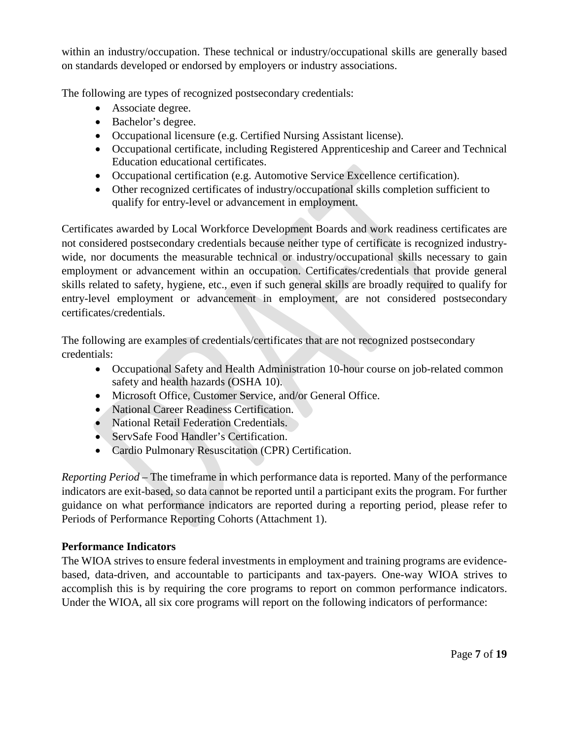within an industry/occupation. These technical or industry/occupational skills are generally based on standards developed or endorsed by employers or industry associations.

The following are types of recognized postsecondary credentials:

- Associate degree.
- Bachelor's degree.
- Occupational licensure (e.g. Certified Nursing Assistant license).
- Occupational certificate, including Registered Apprenticeship and Career and Technical Education educational certificates.
- Occupational certification (e.g. Automotive Service Excellence certification).
- Other recognized certificates of industry/occupational skills completion sufficient to qualify for entry-level or advancement in employment.

Certificates awarded by Local Workforce Development Boards and work readiness certificates are not considered postsecondary credentials because neither type of certificate is recognized industrywide, nor documents the measurable technical or industry/occupational skills necessary to gain employment or advancement within an occupation. Certificates/credentials that provide general skills related to safety, hygiene, etc., even if such general skills are broadly required to qualify for entry-level employment or advancement in employment, are not considered postsecondary certificates/credentials.

The following are examples of credentials/certificates that are not recognized postsecondary credentials:

- Occupational Safety and Health Administration 10-hour course on job-related common safety and health hazards (OSHA 10).
- Microsoft Office, Customer Service, and/or General Office.
- National Career Readiness Certification.
- National Retail Federation Credentials.
- ServSafe Food Handler's Certification.
- Cardio Pulmonary Resuscitation (CPR) Certification.

*Reporting Period* – The timeframe in which performance data is reported. Many of the performance indicators are exit-based, so data cannot be reported until a participant exits the program. For further guidance on what performance indicators are reported during a reporting period, please refer to Periods of Performance Reporting Cohorts (Attachment 1).

## **Performance Indicators**

The WIOA strives to ensure federal investments in employment and training programs are evidencebased, data-driven, and accountable to participants and tax-payers. One-way WIOA strives to accomplish this is by requiring the core programs to report on common performance indicators. Under the WIOA, all six core programs will report on the following indicators of performance: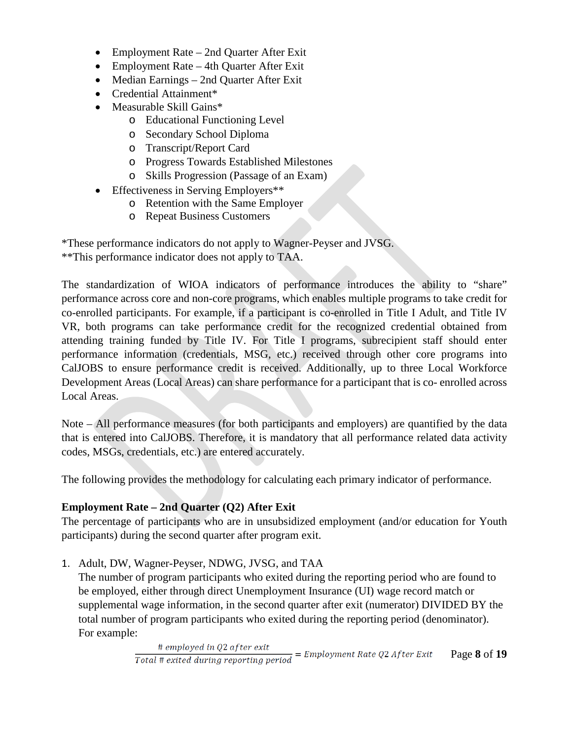- Employment Rate 2nd Quarter After Exit
- Employment Rate 4th Quarter After Exit
- Median Earnings 2nd Quarter After Exit
- Credential Attainment\*
- Measurable Skill Gains\*
	- o Educational Functioning Level
	- o Secondary School Diploma
	- o Transcript/Report Card
	- o Progress Towards Established Milestones
	- o Skills Progression (Passage of an Exam)
- Effectiveness in Serving Employers\*\*
	- o Retention with the Same Employer
	- o Repeat Business Customers

\*These performance indicators do not apply to Wagner-Peyser and JVSG. \*\*This performance indicator does not apply to TAA.

The standardization of WIOA indicators of performance introduces the ability to "share" performance across core and non-core programs, which enables multiple programs to take credit for co-enrolled participants. For example, if a participant is co-enrolled in Title I Adult, and Title IV VR, both programs can take performance credit for the recognized credential obtained from attending training funded by Title IV. For Title I programs, subrecipient staff should enter performance information (credentials, MSG, etc.) received through other core programs into CalJOBS to ensure performance credit is received. Additionally, up to three Local Workforce Development Areas (Local Areas) can share performance for a participant that is co- enrolled across Local Areas.

Note – All performance measures (for both participants and employers) are quantified by the data that is entered into CalJOBS. Therefore, it is mandatory that all performance related data activity codes, MSGs, credentials, etc.) are entered accurately.

The following provides the methodology for calculating each primary indicator of performance.

## **Employment Rate – 2nd Quarter (Q2) After Exit**

The percentage of participants who are in unsubsidized employment (and/or education for Youth participants) during the second quarter after program exit.

1. Adult, DW, Wagner-Peyser, NDWG, JVSG, and TAA

The number of program participants who exited during the reporting period who are found to be employed, either through direct Unemployment Insurance (UI) wage record match or supplemental wage information, in the second quarter after exit (numerator) DIVIDED BY the total number of program participants who exited during the reporting period (denominator). For example: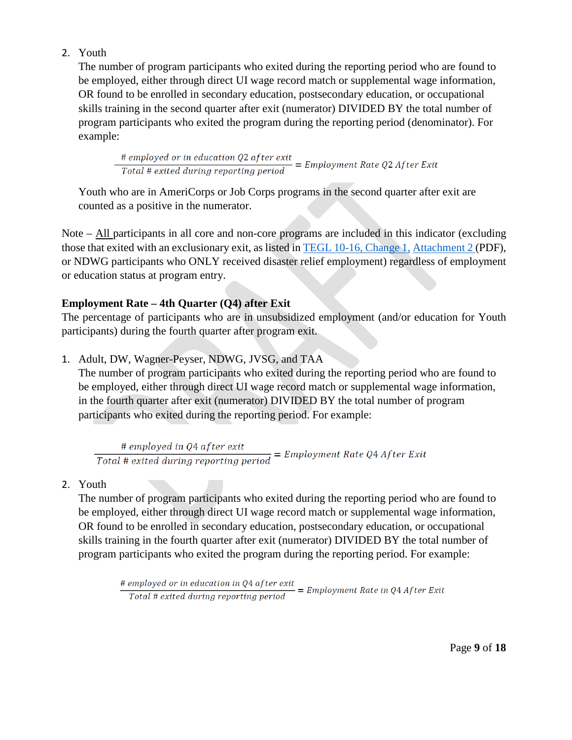### 2. Youth

The number of program participants who exited during the reporting period who are found to be employed, either through direct UI wage record match or supplemental wage information, OR found to be enrolled in secondary education, postsecondary education, or occupational skills training in the second quarter after exit (numerator) DIVIDED BY the total number of program participants who exited the program during the reporting period (denominator). For example:

 $\frac{\#$  employed or in education Q2 after exit  
Total # exited during reporting period = Employment Rate Q2 AfterExit

Youth who are in AmeriCorps or Job Corps programs in the second quarter after exit are counted as a positive in the numerator.

Note – All participants in all core and non-core programs are included in this indicator (excluding those that exited with an exclusionary exit, as listed in TEGL [10-16, Change 1,](https://wdr.doleta.gov/directives/attach/TEGL/TEGL_10-16-Change1_Attachment_2_Acc.pdf) [Attachment 2 \(](https://wdr.doleta.gov/directives/attach/TEGL/TEGL_10-16-Change1_Attachment_2_Acc.pdf)PDF), or NDWG participants who ONLY received disaster relief employment) regardless of employment or education status at program entry.

#### **Employment Rate – 4th Quarter (Q4) after Exit**

The percentage of participants who are in unsubsidized employment (and/or education for Youth participants) during the fourth quarter after program exit.

1. Adult, DW, Wagner-Peyser, NDWG, JVSG, and TAA

The number of program participants who exited during the reporting period who are found to be employed, either through direct UI wage record match or supplemental wage information, in the fourth quarter after exit (numerator) DIVIDED BY the total number of program participants who exited during the reporting period. For example:

 $\frac{\# \ employed in \ Q4 \ after \ exit}{\Total \ # \ exited \ during \ reporting \ period} = Employment \ Rate \ Q4 \ After \ Extt$ 

#### 2. Youth

The number of program participants who exited during the reporting period who are found to be employed, either through direct UI wage record match or supplemental wage information, OR found to be enrolled in secondary education, postsecondary education, or occupational skills training in the fourth quarter after exit (numerator) DIVIDED BY the total number of program participants who exited the program during the reporting period. For example:

 $\frac{\#$  employed or in education in Q4 after exit  
Total # exited during reporting period = Employment Rate in Q4 After Extt

Page **9** of **18**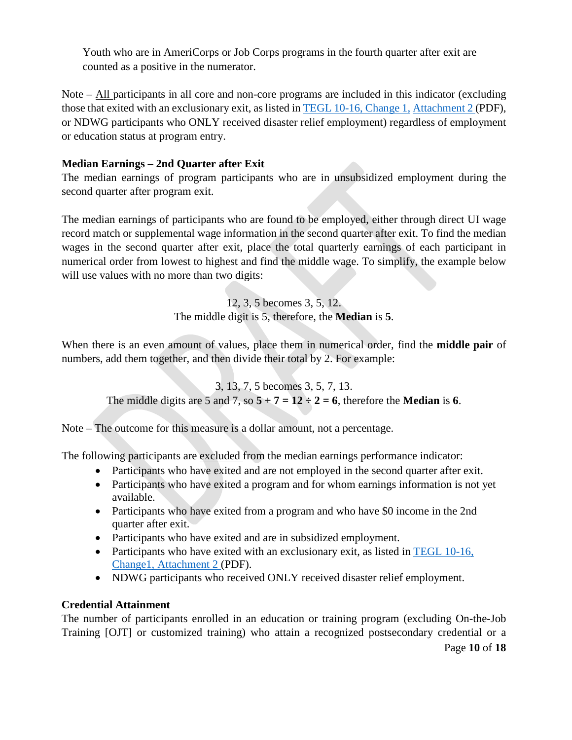Youth who are in AmeriCorps or Job Corps programs in the fourth quarter after exit are counted as a positive in the numerator.

Note – All participants in all core and non-core programs are included in this indicator (excluding those that exited with an exclusionary exit, as listed in TEGL [10-16, Change 1,](https://wdr.doleta.gov/directives/attach/TEGL/TEGL_10-16-Change1_Attachment_2_Acc.pdf) [Attachment 2 \(](https://wdr.doleta.gov/directives/attach/TEGL/TEGL_10-16-Change1_Attachment_2_Acc.pdf)PDF), or NDWG participants who ONLY received disaster relief employment) regardless of employment or education status at program entry.

## **Median Earnings – 2nd Quarter after Exit**

The median earnings of program participants who are in unsubsidized employment during the second quarter after program exit.

The median earnings of participants who are found to be employed, either through direct UI wage record match or supplemental wage information in the second quarter after exit. To find the median wages in the second quarter after exit, place the total quarterly earnings of each participant in numerical order from lowest to highest and find the middle wage. To simplify, the example below will use values with no more than two digits:

> 12, 3, 5 becomes 3, 5, 12. The middle digit is 5, therefore, the **Median** is **5**.

When there is an even amount of values, place them in numerical order, find the **middle pair** of numbers, add them together, and then divide their total by 2. For example:

3, 13, 7, 5 becomes 3, 5, 7, 13. The middle digits are 5 and 7, so  $5 + 7 = 12 \div 2 = 6$ , therefore the **Median** is 6.

Note – The outcome for this measure is a dollar amount, not a percentage.

The following participants are excluded from the median earnings performance indicator:

- Participants who have exited and are not employed in the second quarter after exit.
- Participants who have exited a program and for whom earnings information is not yet available.
- Participants who have exited from a program and who have \$0 income in the 2nd quarter after exit.
- Participants who have exited and are in subsidized employment.
- Participants who have exited with an exclusionary exit, as listed in [TEGL 10-16,](https://wdr.doleta.gov/directives/attach/TEGL/TEGL_10-16-Change1_Attachment_2_Acc.pdf) [Change1, Attachment 2 \(](https://wdr.doleta.gov/directives/attach/TEGL/TEGL_10-16-Change1_Attachment_2_Acc.pdf)PDF).
- NDWG participants who received ONLY received disaster relief employment.

## **Credential Attainment**

Page **10** of **18** The number of participants enrolled in an education or training program (excluding On-the-Job Training [OJT] or customized training) who attain a recognized postsecondary credential or a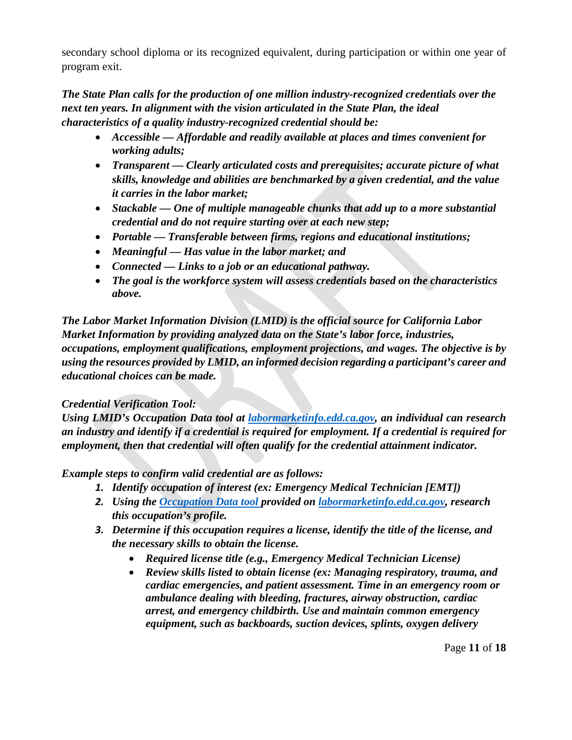secondary school diploma or its recognized equivalent, during participation or within one year of program exit.

*The State Plan calls for the production of one million industry-recognized credentials over the next ten years. In alignment with the vision articulated in the State Plan, the ideal characteristics of a quality industry-recognized credential should be:*

- *Accessible — Affordable and readily available at places and times convenient for working adults;*
- *Transparent — Clearly articulated costs and prerequisites; accurate picture of what skills, knowledge and abilities are benchmarked by a given credential, and the value it carries in the labor market;*
- *Stackable — One of multiple manageable chunks that add up to a more substantial credential and do not require starting over at each new step;*
- *Portable — Transferable between firms, regions and educational institutions;*
- *Meaningful — Has value in the labor market; and*
- *Connected — Links to a job or an educational pathway.*
- *The goal is the workforce system will assess credentials based on the characteristics above.*

*The Labor Market Information Division (LMID) is the official source for California Labor Market Information by providing analyzed data on the State's labor force, industries, occupations, employment qualifications, employment projections, and wages. The objective is by using the resources provided by LMID, an informed decision regarding a participant's career and educational choices can be made.*

## *Credential Verification Tool:*

*Using LMID's Occupation Data tool at [labormarketinfo.edd.ca.gov,](http://www.labormarketinfo.edd.ca.gov/) an individual can research an industry and identify if a credential is required for employment. If a credential is required for employment, then that credential will often qualify for the credential attainment indicator.*

*Example steps to confirm valid credential are as follows:*

- *1. Identify occupation of interest (ex: Emergency Medical Technician [EMT])*
- *2. Using the [Occupation Data tool p](http://www.labormarketinfo.edd.ca.gov/OccGuides/Detail.aspx?Soccode=292041&Geography=0601000000)rovided on [labormarketinfo.edd.ca.gov,](http://www.labormarketinfo.edd.ca.gov/) research this occupation's profile.*
- *3. Determine if this occupation requires a license, identify the title of the license, and the necessary skills to obtain the license.*
	- *Required license title (e.g., Emergency Medical Technician License)*
	- *Review skills listed to obtain license (ex: Managing respiratory, trauma, and cardiac emergencies, and patient assessment. Time in an emergency room or ambulance dealing with bleeding, fractures, airway obstruction, cardiac arrest, and emergency childbirth. Use and maintain common emergency equipment, such as backboards, suction devices, splints, oxygen delivery*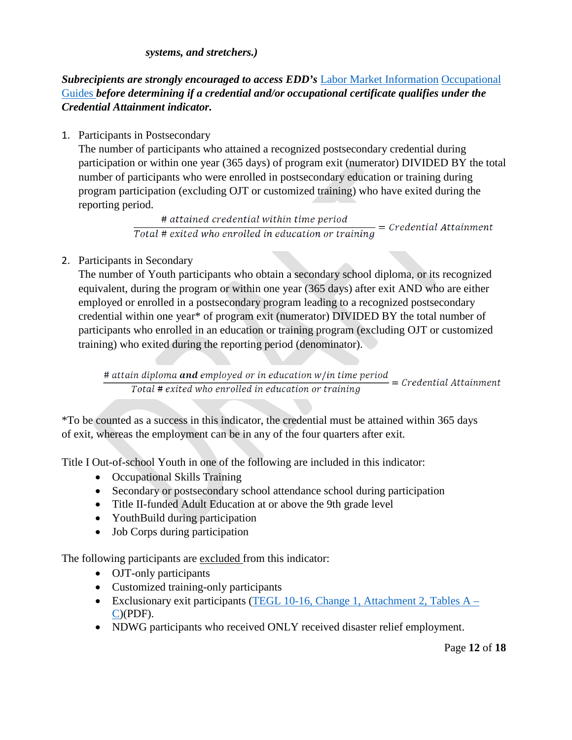#### *systems, and stretchers.)*

*Subrecipients are strongly encouraged to access EDD's* [Labor Market Information](http://www.labormarketinfo.edd.ca.gov/OccGuides/Search.aspx) [Occupational](http://www.labormarketinfo.edd.ca.gov/OccGuides/Search.aspx)  [Guides](http://www.labormarketinfo.edd.ca.gov/OccGuides/Search.aspx) *before determining if a credential and/or occupational certificate qualifies under the Credential Attainment indicator.*

#### 1. Participants in Postsecondary

The number of participants who attained a recognized postsecondary credential during participation or within one year (365 days) of program exit (numerator) DIVIDED BY the total number of participants who were enrolled in postsecondary education or training during program participation (excluding OJT or customized training) who have exited during the reporting period.

> # attained credential within time period  $\frac{\text{# attained creation}}{\text{Total # exited who enrolled in education or training}} = \text{Credential Attaimment}$

2. Participants in Secondary

The number of Youth participants who obtain a secondary school diploma, or its recognized equivalent, during the program or within one year (365 days) after exit AND who are either employed or enrolled in a postsecondary program leading to a recognized postsecondary credential within one year\* of program exit (numerator) DIVIDED BY the total number of participants who enrolled in an education or training program (excluding OJT or customized training) who exited during the reporting period (denominator).

 $\frac{\# \text{ attain } \text{diploma } \text{and } \text{employed or in education } w/\text{in time period}}{Total # \text{oxid} \# \text{provided } \text{who} \text{ are called in education or training}} = C \text{redential Attaimment}$ Total # exited who enrolled in education or training

\*To be counted as a success in this indicator, the credential must be attained within 365 days of exit, whereas the employment can be in any of the four quarters after exit.

Title I Out-of-school Youth in one of the following are included in this indicator:

- Occupational Skills Training
- Secondary or postsecondary school attendance school during participation
- Title II-funded Adult Education at or above the 9th grade level
- YouthBuild during participation
- Job Corps during participation

The following participants are excluded from this indicator:

- OJT-only participants
- Customized training-only participants
- Exclusionary exit participants [\(TEGL 10-16, Change 1, Attachment 2, Tables A –](https://wdr.doleta.gov/directives/attach/TEGL/TEGL_10-16-Change1_Attachment_2_Acc.pdf) [C\)](https://wdr.doleta.gov/directives/attach/TEGL/TEGL_10-16-Change1_Attachment_2_Acc.pdf)(PDF).
- NDWG participants who received ONLY received disaster relief employment.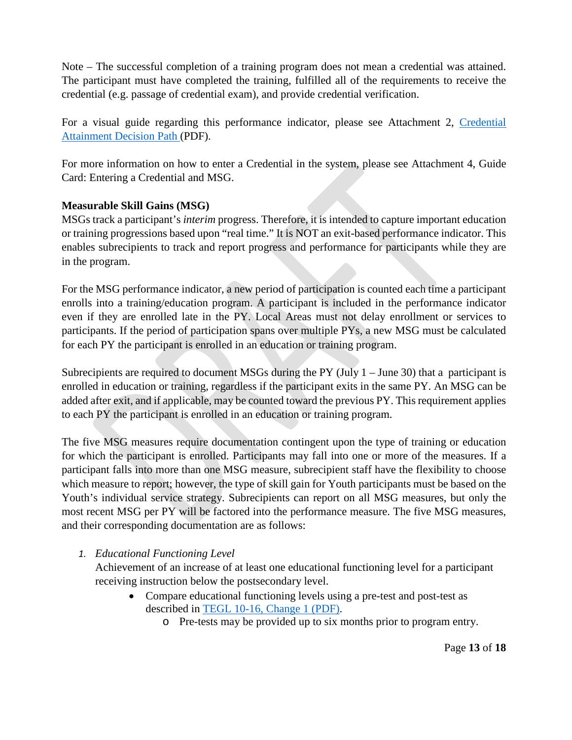Note – The successful completion of a training program does not mean a credential was attained. The participant must have completed the training, fulfilled all of the requirements to receive the credential (e.g. passage of credential exam), and provide credential verification.

For a visual guide regarding this performance indicator, please see Attachment 2, [Credential](https://eddnet/teams/WSD/ClearanceTracking/ClearanceDocuments/Performance%20Guidance%20for%20WIOA%20Title%20I%20Programs/Credential%20Attainment%20Decision%20Path.pdf) [Attainment Decision Path \(](https://eddnet/teams/WSD/ClearanceTracking/ClearanceDocuments/Performance%20Guidance%20for%20WIOA%20Title%20I%20Programs/Credential%20Attainment%20Decision%20Path.pdf)PDF).

For more information on how to enter a Credential in the system, please see Attachment 4, Guide Card: Entering a Credential and MSG.

## **Measurable Skill Gains (MSG)**

MSGs track a participant's *interim* progress. Therefore, it is intended to capture important education or training progressions based upon "real time." It is NOT an exit-based performance indicator. This enables subrecipients to track and report progress and performance for participants while they are in the program.

For the MSG performance indicator, a new period of participation is counted each time a participant enrolls into a training/education program. A participant is included in the performance indicator even if they are enrolled late in the PY. Local Areas must not delay enrollment or services to participants. If the period of participation spans over multiple PYs, a new MSG must be calculated for each PY the participant is enrolled in an education or training program.

Subrecipients are required to document MSGs during the PY (July  $1 -$  June 30) that a participant is enrolled in education or training, regardless if the participant exits in the same PY. An MSG can be added after exit, and if applicable, may be counted toward the previous PY. This requirement applies to each PY the participant is enrolled in an education or training program.

The five MSG measures require documentation contingent upon the type of training or education for which the participant is enrolled. Participants may fall into one or more of the measures. If a participant falls into more than one MSG measure, subrecipient staff have the flexibility to choose which measure to report; however, the type of skill gain for Youth participants must be based on the Youth's individual service strategy. Subrecipients can report on all MSG measures, but only the most recent MSG per PY will be factored into the performance measure. The five MSG measures, and their corresponding documentation are as follows:

## *1. Educational Functioning Level*

Achievement of an increase of at least one educational functioning level for a participant receiving instruction below the postsecondary level.

- Compare educational functioning levels using a pre-test and post-test as described in [TEGL 10-16, Change 1 \(PDF\).](https://wdr.doleta.gov/directives/attach/TEGL/TEGL_10-16-Change1_Acc.pdf)
	- o Pre-tests may be provided up to six months prior to program entry.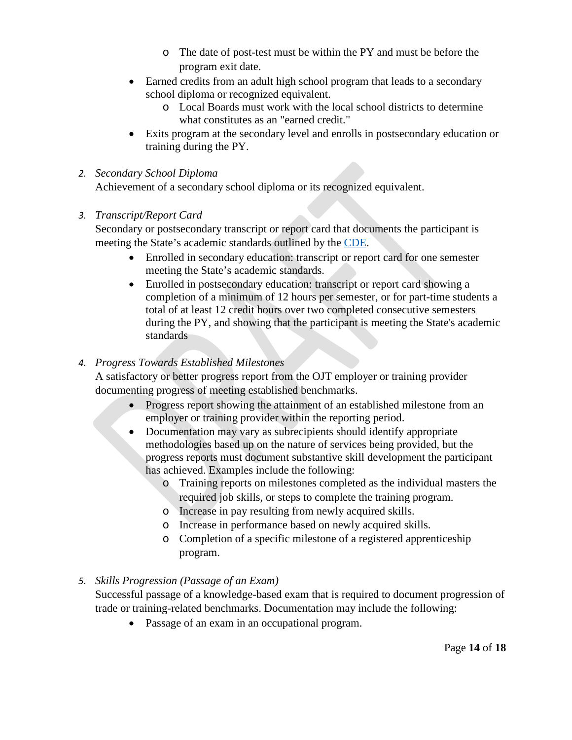- o The date of post-test must be within the PY and must be before the program exit date.
- Earned credits from an adult high school program that leads to a secondary school diploma or recognized equivalent.
	- o Local Boards must work with the local school districts to determine what constitutes as an "earned credit."
- Exits program at the secondary level and enrolls in postsecondary education or training during the PY.

#### *2. Secondary School Diploma*

Achievement of a secondary school diploma or its recognized equivalent.

#### *3. Transcript/Report Card*

Secondary or postsecondary transcript or report card that documents the participant is meeting the State's academic standards outlined by the [CDE.](https://www.cde.ca.gov/ci/gs/hs/hsgrmin.asp)

- Enrolled in secondary education: transcript or report card for one semester meeting the State's academic standards.
- Enrolled in postsecondary education: transcript or report card showing a completion of a minimum of 12 hours per semester, or for part-time students a total of at least 12 credit hours over two completed consecutive semesters during the PY, and showing that the participant is meeting the State's academic standards

#### *4. Progress Towards Established Milestones*

A satisfactory or better progress report from the OJT employer or training provider documenting progress of meeting established benchmarks.

- Progress report showing the attainment of an established milestone from an employer or training provider within the reporting period.
- Documentation may vary as subrecipients should identify appropriate methodologies based up on the nature of services being provided, but the progress reports must document substantive skill development the participant has achieved. Examples include the following:
	- o Training reports on milestones completed as the individual masters the required job skills, or steps to complete the training program.
	- o Increase in pay resulting from newly acquired skills.
	- o Increase in performance based on newly acquired skills.
	- o Completion of a specific milestone of a registered apprenticeship program.

## *5. Skills Progression (Passage of an Exam)*

Successful passage of a knowledge-based exam that is required to document progression of trade or training-related benchmarks. Documentation may include the following:

• Passage of an exam in an occupational program.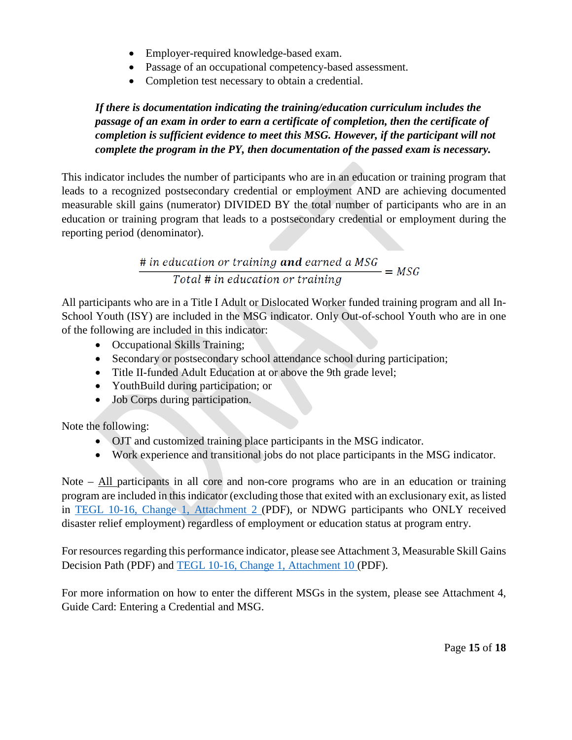- Employer-required knowledge-based exam.
- Passage of an occupational competency-based assessment.
- Completion test necessary to obtain a credential.

*If there is documentation indicating the training/education curriculum includes the passage of an exam in order to earn a certificate of completion, then the certificate of completion is sufficient evidence to meet this MSG. However, if the participant will not complete the program in the PY, then documentation of the passed exam is necessary.*

This indicator includes the number of participants who are in an education or training program that leads to a recognized postsecondary credential or employment AND are achieving documented measurable skill gains (numerator) DIVIDED BY the total number of participants who are in an education or training program that leads to a postsecondary credential or employment during the reporting period (denominator).

> $\frac{\# \text{ in education or training and earned a MSG}}{Total \# \text{ in education or training}} = MSG$ Total # in education or training

All participants who are in a Title I Adult or Dislocated Worker funded training program and all In-School Youth (ISY) are included in the MSG indicator. Only Out-of-school Youth who are in one of the following are included in this indicator:

- Occupational Skills Training;
- Secondary or postsecondary school attendance school during participation;
- Title II-funded Adult Education at or above the 9th grade level;
- YouthBuild during participation; or
- Job Corps during participation.

Note the following:

- OJT and customized training place participants in the MSG indicator.
- Work experience and transitional jobs do not place participants in the MSG indicator.

Note – All participants in all core and non-core programs who are in an education or training program are included in this indicator (excluding those that exited with an exclusionary exit, as listed in [TEGL 10-16, Change 1, Attachment 2 \(](https://wdr.doleta.gov/directives/attach/TEGL/TEGL_10-16-Change1_Attachment_2_Acc.pdf)PDF), or NDWG participants who ONLY received disaster relief employment) regardless of employment or education status at program entry.

For resources regarding this performance indicator, please see Attachment 3, Measurable Skill Gains Decision Path (PDF) and [TEGL 10-16, Change 1, Attachment 10 \(](https://wdr.doleta.gov/directives/attach/TEGL/TEGL_10-16-Change1_Attachment_10_Acc.pdf)PDF).

For more information on how to enter the different MSGs in the system, please see Attachment 4, Guide Card: Entering a Credential and MSG.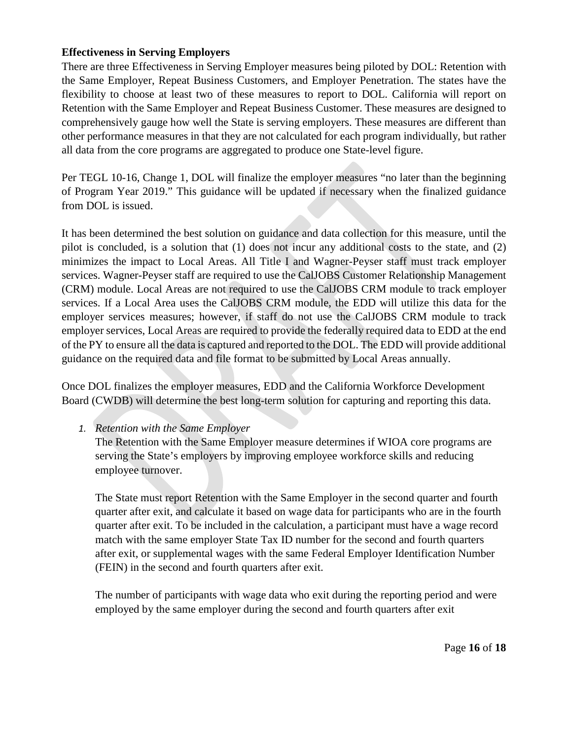#### **Effectiveness in Serving Employers**

There are three Effectiveness in Serving Employer measures being piloted by DOL: Retention with the Same Employer, Repeat Business Customers, and Employer Penetration. The states have the flexibility to choose at least two of these measures to report to DOL. California will report on Retention with the Same Employer and Repeat Business Customer. These measures are designed to comprehensively gauge how well the State is serving employers. These measures are different than other performance measures in that they are not calculated for each program individually, but rather all data from the core programs are aggregated to produce one State-level figure.

Per TEGL 10-16, Change 1, DOL will finalize the employer measures "no later than the beginning of Program Year 2019." This guidance will be updated if necessary when the finalized guidance from DOL is issued.

It has been determined the best solution on guidance and data collection for this measure, until the pilot is concluded, is a solution that (1) does not incur any additional costs to the state, and (2) minimizes the impact to Local Areas. All Title I and Wagner-Peyser staff must track employer services. Wagner-Peyser staff are required to use the CalJOBS Customer Relationship Management (CRM) module. Local Areas are not required to use the CalJOBS CRM module to track employer services. If a Local Area uses the CalJOBS CRM module, the EDD will utilize this data for the employer services measures; however, if staff do not use the CalJOBS CRM module to track employer services, Local Areas are required to provide the federally required data to EDD at the end of the PY to ensure all the data is captured and reported to the DOL. The EDD will provide additional guidance on the required data and file format to be submitted by Local Areas annually.

Once DOL finalizes the employer measures, EDD and the California Workforce Development Board (CWDB) will determine the best long-term solution for capturing and reporting this data.

*1. Retention with the Same Employer*

The Retention with the Same Employer measure determines if WIOA core programs are serving the State's employers by improving employee workforce skills and reducing employee turnover.

The State must report Retention with the Same Employer in the second quarter and fourth quarter after exit, and calculate it based on wage data for participants who are in the fourth quarter after exit. To be included in the calculation, a participant must have a wage record match with the same employer State Tax ID number for the second and fourth quarters after exit, or supplemental wages with the same Federal Employer Identification Number (FEIN) in the second and fourth quarters after exit.

The number of participants with wage data who exit during the reporting period and were employed by the same employer during the second and fourth quarters after exit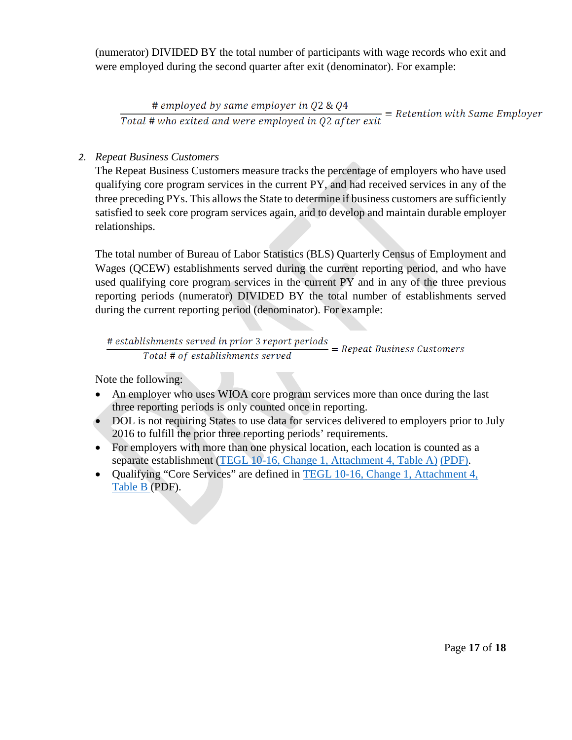(numerator) DIVIDED BY the total number of participants with wage records who exit and were employed during the second quarter after exit (denominator). For example:

# employed by same employer in Q2 & Q4  $\frac{\text{# employed by same employer in Q2 & Q4}}{\text{Total # who exited and were employed in Q2 after exit}}$  = Retention with Same Employer

#### *2. Repeat Business Customers*

The Repeat Business Customers measure tracks the percentage of employers who have used qualifying core program services in the current PY, and had received services in any of the three preceding PYs. This allows the State to determine if business customers are sufficiently satisfied to seek core program services again, and to develop and maintain durable employer relationships.

The total number of Bureau of Labor Statistics (BLS) Quarterly Census of Employment and Wages (QCEW) establishments served during the current reporting period, and who have used qualifying core program services in the current PY and in any of the three previous reporting periods (numerator) DIVIDED BY the total number of establishments served during the current reporting period (denominator). For example:

$$
\frac{\# \,establishments\, served\, in\, prior\,3\,report\,periods}{Total\, \# \, of\, establishments\, served} = Repeat\,Business\,Customers
$$

Note the following:

- An employer who uses WIOA core program services more than once during the last three reporting periods is only counted once in reporting.
- DOL is not requiring States to use data for services delivered to employers prior to July 2016 to fulfill the prior three reporting periods' requirements.
- For employers with more than one physical location, each location is counted as a separate establishment [\(TEGL 10-16, Change 1, Attachment 4, Table A\)](https://wdr.doleta.gov/directives/attach/TEGL/TEGL_10-16-Change1_Attachment_4_Acc.pdf) [\(PDF\).](https://wdr.doleta.gov/directives/attach/TEGL/TEGL_10-16-Change1_Attachment_4_Acc.pdf)
- Qualifying "Core Services" are defined in [TEGL 10-16, Change 1, Attachment 4,](https://wdr.doleta.gov/directives/attach/TEGL/TEGL_10-16-Change1_Attachment_4_Acc.pdf) [Table B \(](https://wdr.doleta.gov/directives/attach/TEGL/TEGL_10-16-Change1_Attachment_4_Acc.pdf)PDF).